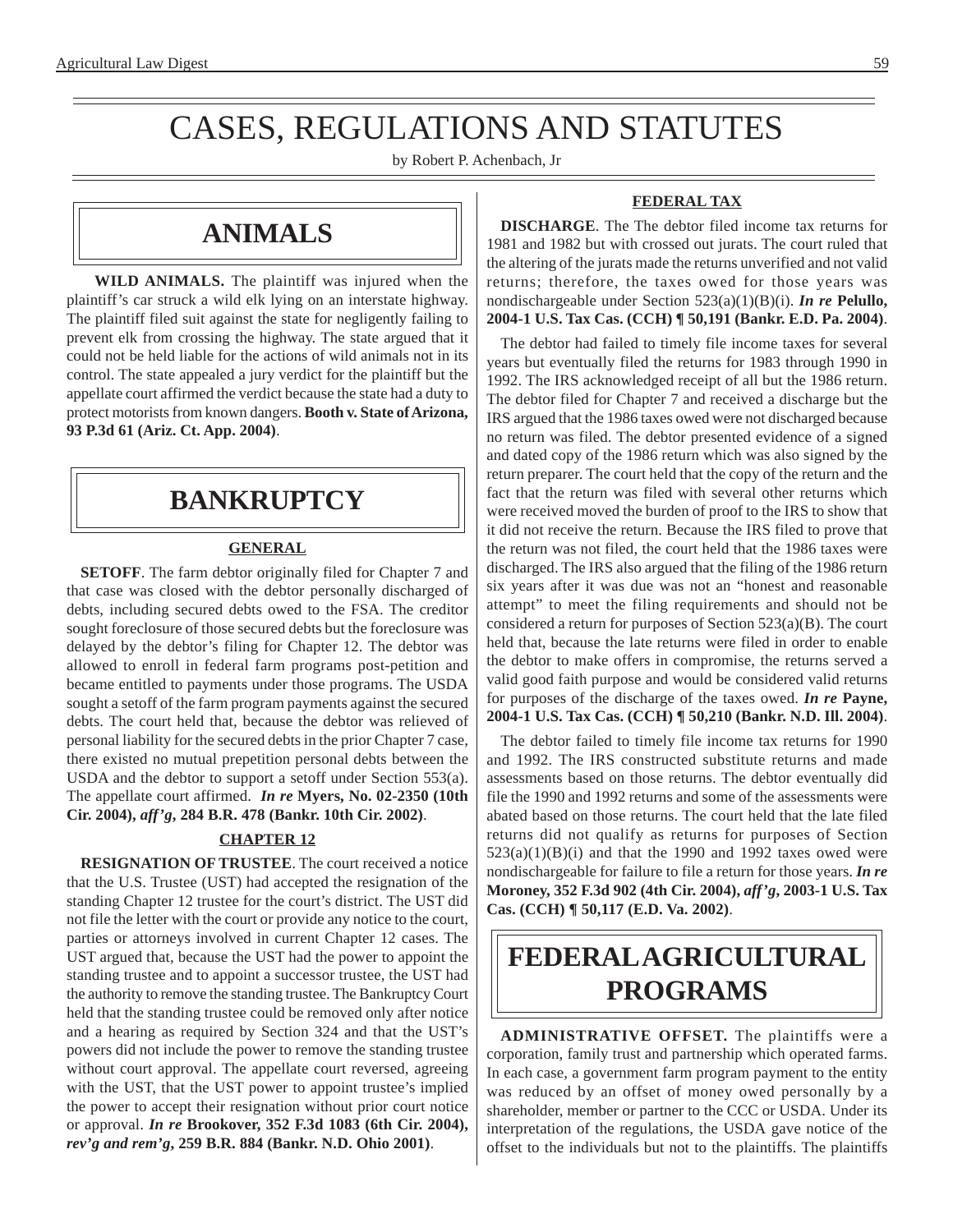# CASES, REGULATIONS AND STATUTES

by Robert P. Achenbach, Jr

## **ANIMALS**

**WILD ANIMALS.** The plaintiff was injured when the plaintiff's car struck a wild elk lying on an interstate highway. The plaintiff filed suit against the state for negligently failing to prevent elk from crossing the highway. The state argued that it could not be held liable for the actions of wild animals not in its control. The state appealed a jury verdict for the plaintiff but the appellate court affirmed the verdict because the state had a duty to protect motorists from known dangers. **Booth v. State of Arizona, 93 P.3d 61 (Ariz. Ct. App. 2004)**.

## **BANKRUPTCY**

### **GENERAL**

**SETOFF**. The farm debtor originally filed for Chapter 7 and that case was closed with the debtor personally discharged of debts, including secured debts owed to the FSA. The creditor sought foreclosure of those secured debts but the foreclosure was delayed by the debtor's filing for Chapter 12. The debtor was allowed to enroll in federal farm programs post-petition and became entitled to payments under those programs. The USDA sought a setoff of the farm program payments against the secured debts. The court held that, because the debtor was relieved of personal liability for the secured debts in the prior Chapter 7 case, there existed no mutual prepetition personal debts between the USDA and the debtor to support a setoff under Section 553(a). The appellate court affirmed. *In re* **Myers, No. 02-2350 (10th Cir. 2004),** *aff'g***, 284 B.R. 478 (Bankr. 10th Cir. 2002)**.

### **CHAPTER 12**

**RESIGNATION OF TRUSTEE**. The court received a notice that the U.S. Trustee (UST) had accepted the resignation of the standing Chapter 12 trustee for the court's district. The UST did not file the letter with the court or provide any notice to the court, parties or attorneys involved in current Chapter 12 cases. The UST argued that, because the UST had the power to appoint the standing trustee and to appoint a successor trustee, the UST had the authority to remove the standing trustee. The Bankruptcy Court held that the standing trustee could be removed only after notice and a hearing as required by Section 324 and that the UST's powers did not include the power to remove the standing trustee without court approval. The appellate court reversed, agreeing with the UST, that the UST power to appoint trustee's implied the power to accept their resignation without prior court notice or approval. *In re* **Brookover, 352 F.3d 1083 (6th Cir. 2004),**  *rev'g and rem'g***, 259 B.R. 884 (Bankr. N.D. Ohio 2001)**.

#### **FEDERAL TAX**

**DISCHARGE**. The The debtor filed income tax returns for 1981 and 1982 but with crossed out jurats. The court ruled that the altering of the jurats made the returns unverified and not valid returns; therefore, the taxes owed for those years was nondischargeable under Section 523(a)(1)(B)(i). *In re* **Pelullo, 2004-1 U.S. Tax Cas. (CCH) ¶ 50,191 (Bankr. E.D. Pa. 2004)**.

The debtor had failed to timely file income taxes for several years but eventually filed the returns for 1983 through 1990 in 1992. The IRS acknowledged receipt of all but the 1986 return. The debtor filed for Chapter 7 and received a discharge but the IRS argued that the 1986 taxes owed were not discharged because no return was filed. The debtor presented evidence of a signed and dated copy of the 1986 return which was also signed by the return preparer. The court held that the copy of the return and the fact that the return was filed with several other returns which were received moved the burden of proof to the IRS to show that it did not receive the return. Because the IRS filed to prove that the return was not filed, the court held that the 1986 taxes were discharged. The IRS also argued that the filing of the 1986 return six years after it was due was not an "honest and reasonable attempt" to meet the filing requirements and should not be considered a return for purposes of Section 523(a)(B). The court held that, because the late returns were filed in order to enable the debtor to make offers in compromise, the returns served a valid good faith purpose and would be considered valid returns for purposes of the discharge of the taxes owed. *In re* **Payne, 2004-1 U.S. Tax Cas. (CCH) ¶ 50,210 (Bankr. N.D. Ill. 2004)**.

The debtor failed to timely file income tax returns for 1990 and 1992. The IRS constructed substitute returns and made assessments based on those returns. The debtor eventually did file the 1990 and 1992 returns and some of the assessments were abated based on those returns. The court held that the late filed returns did not qualify as returns for purposes of Section  $523(a)(1)(B)(i)$  and that the 1990 and 1992 taxes owed were nondischargeable for failure to file a return for those years. *In re*  **Moroney, 352 F.3d 902 (4th Cir. 2004),** *aff'g***, 2003-1 U.S. Tax Cas. (CCH) ¶ 50,117 (E.D. Va. 2002)**.

# **FEDERAL AGRICULTURAL PROGRAMS**

**ADMINISTRATIVE OFFSET.** The plaintiffs were a corporation, family trust and partnership which operated farms. In each case, a government farm program payment to the entity was reduced by an offset of money owed personally by a shareholder, member or partner to the CCC or USDA. Under its interpretation of the regulations, the USDA gave notice of the offset to the individuals but not to the plaintiffs. The plaintiffs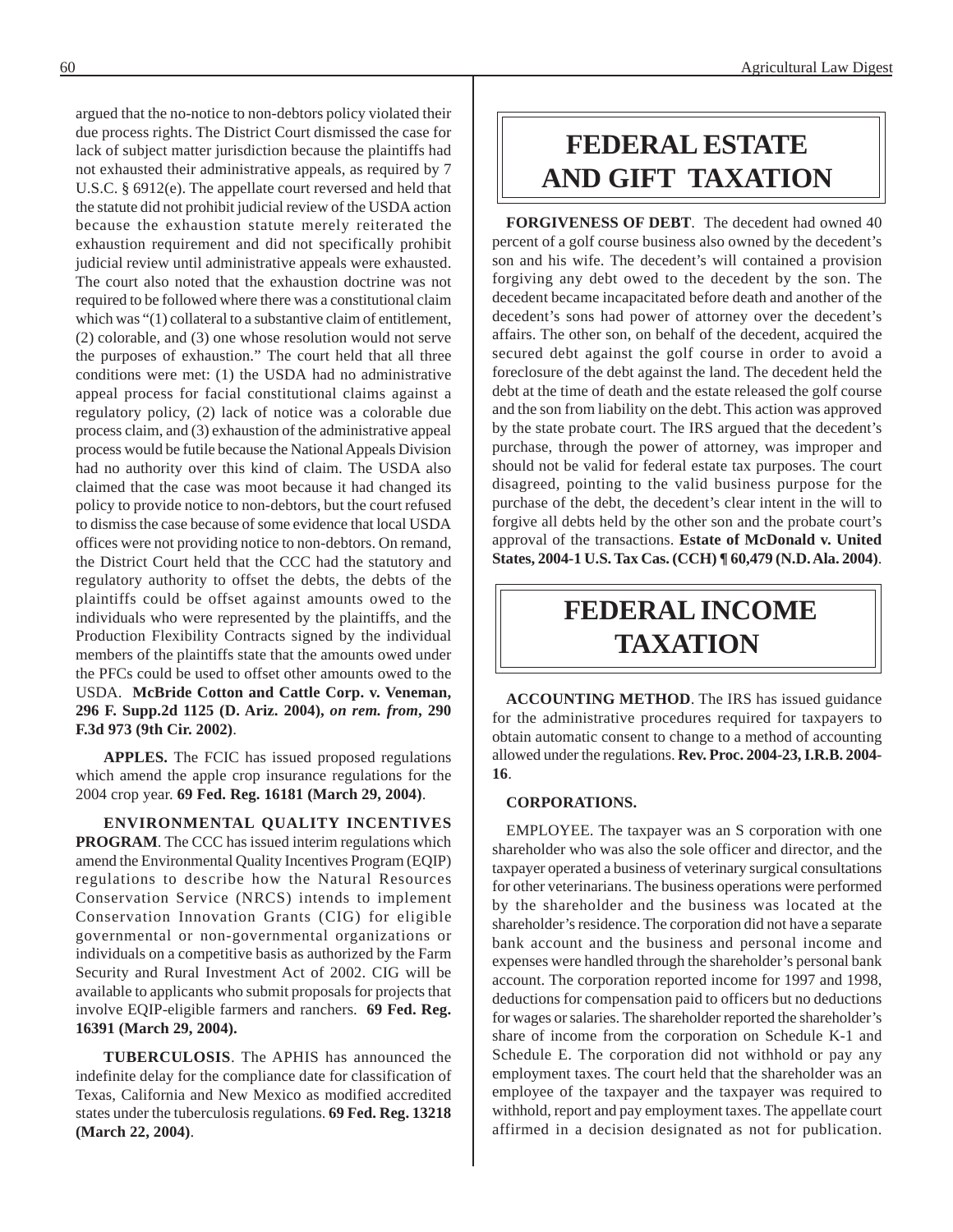argued that the no-notice to non-debtors policy violated their due process rights. The District Court dismissed the case for lack of subject matter jurisdiction because the plaintiffs had not exhausted their administrative appeals, as required by 7 U.S.C. § 6912(e). The appellate court reversed and held that the statute did not prohibit judicial review of the USDA action because the exhaustion statute merely reiterated the exhaustion requirement and did not specifically prohibit judicial review until administrative appeals were exhausted. The court also noted that the exhaustion doctrine was not required to be followed where there was a constitutional claim which was "(1) collateral to a substantive claim of entitlement, (2) colorable, and (3) one whose resolution would not serve the purposes of exhaustion." The court held that all three conditions were met: (1) the USDA had no administrative appeal process for facial constitutional claims against a regulatory policy, (2) lack of notice was a colorable due process claim, and (3) exhaustion of the administrative appeal process would be futile because the National Appeals Division had no authority over this kind of claim. The USDA also claimed that the case was moot because it had changed its policy to provide notice to non-debtors, but the court refused to dismiss the case because of some evidence that local USDA offices were not providing notice to non-debtors. On remand, the District Court held that the CCC had the statutory and regulatory authority to offset the debts, the debts of the plaintiffs could be offset against amounts owed to the individuals who were represented by the plaintiffs, and the Production Flexibility Contracts signed by the individual members of the plaintiffs state that the amounts owed under the PFCs could be used to offset other amounts owed to the USDA. **McBride Cotton and Cattle Corp. v. Veneman, 296 F. Supp.2d 1125 (D. Ariz. 2004),** *on rem. from***, 290 F.3d 973 (9th Cir. 2002)**.

**APPLES.** The FCIC has issued proposed regulations which amend the apple crop insurance regulations for the 2004 crop year. **69 Fed. Reg. 16181 (March 29, 2004)**.

**ENVIRONMENTAL QUALITY INCENTIVES PROGRAM**. The CCC has issued interim regulations which amend the Environmental Quality Incentives Program (EQIP) regulations to describe how the Natural Resources Conservation Service (NRCS) intends to implement Conservation Innovation Grants (CIG) for eligible governmental or non-governmental organizations or individuals on a competitive basis as authorized by the Farm Security and Rural Investment Act of 2002. CIG will be available to applicants who submit proposals for projects that involve EQIP-eligible farmers and ranchers. **69 Fed. Reg. 16391 (March 29, 2004).** 

**TUBERCULOSIS**. The APHIS has announced the indefinite delay for the compliance date for classification of Texas, California and New Mexico as modified accredited states under the tuberculosis regulations. **69 Fed. Reg. 13218 (March 22, 2004)**.

# **FEDERAL ESTATE AND GIFT TAXATION**

**FORGIVENESS OF DEBT**. The decedent had owned 40 percent of a golf course business also owned by the decedent's son and his wife. The decedent's will contained a provision forgiving any debt owed to the decedent by the son. The decedent became incapacitated before death and another of the decedent's sons had power of attorney over the decedent's affairs. The other son, on behalf of the decedent, acquired the secured debt against the golf course in order to avoid a foreclosure of the debt against the land. The decedent held the debt at the time of death and the estate released the golf course and the son from liability on the debt. This action was approved by the state probate court. The IRS argued that the decedent's purchase, through the power of attorney, was improper and should not be valid for federal estate tax purposes. The court disagreed, pointing to the valid business purpose for the purchase of the debt, the decedent's clear intent in the will to forgive all debts held by the other son and the probate court's approval of the transactions. **Estate of McDonald v. United States, 2004-1 U.S. Tax Cas. (CCH) ¶ 60,479 (N.D. Ala. 2004)**.

## **FEDERAL INCOME TAXATION**

**ACCOUNTING METHOD**. The IRS has issued guidance for the administrative procedures required for taxpayers to obtain automatic consent to change to a method of accounting allowed under the regulations. **Rev. Proc. 2004-23, I.R.B. 2004 16**.

#### **CORPORATIONS.**

EMPLOYEE. The taxpayer was an S corporation with one shareholder who was also the sole officer and director, and the taxpayer operated a business of veterinary surgical consultations for other veterinarians. The business operations were performed by the shareholder and the business was located at the shareholder's residence. The corporation did not have a separate bank account and the business and personal income and expenses were handled through the shareholder's personal bank account. The corporation reported income for 1997 and 1998, deductions for compensation paid to officers but no deductions for wages or salaries. The shareholder reported the shareholder's share of income from the corporation on Schedule K-1 and Schedule E. The corporation did not withhold or pay any employment taxes. The court held that the shareholder was an employee of the taxpayer and the taxpayer was required to withhold, report and pay employment taxes. The appellate court affirmed in a decision designated as not for publication.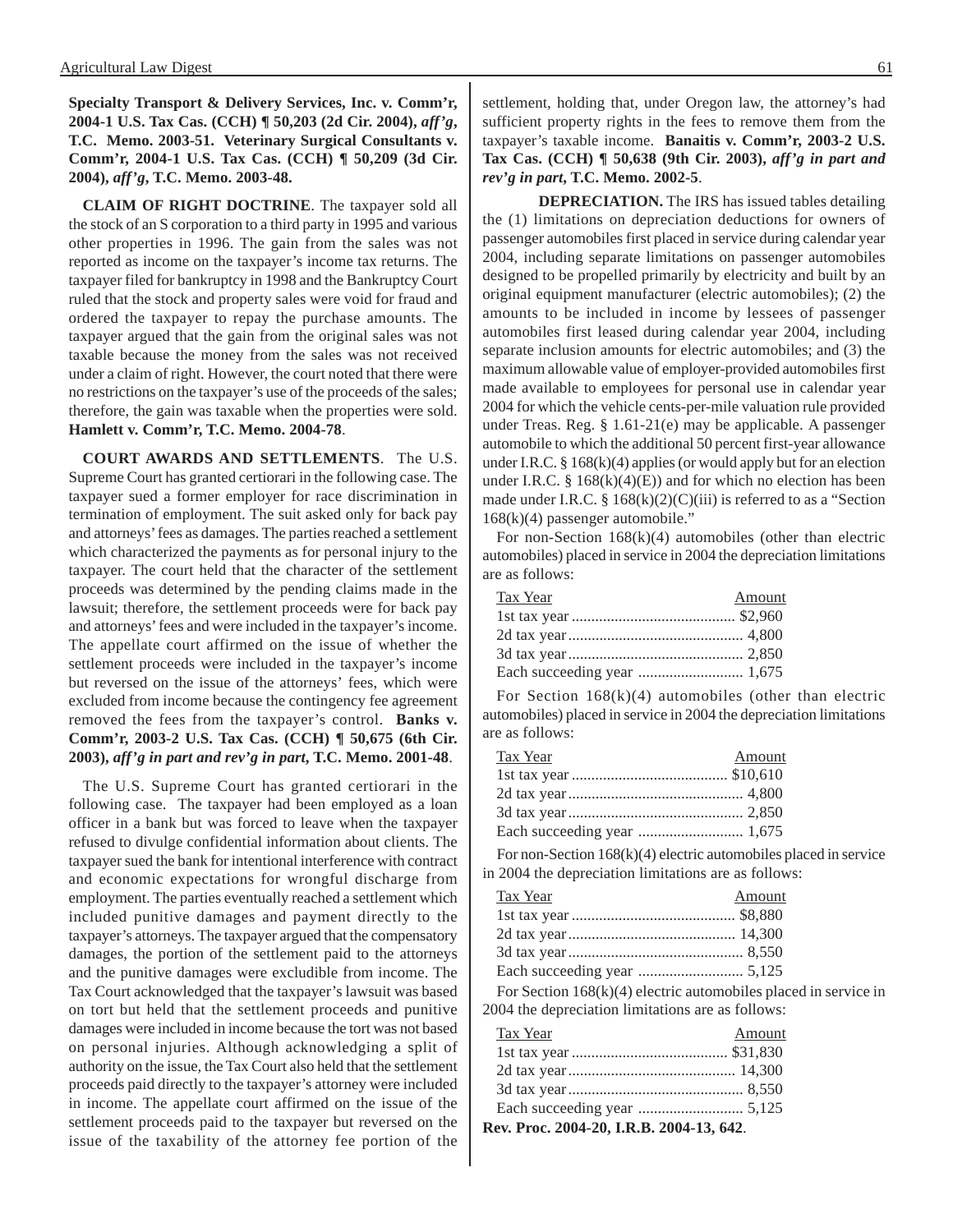**Specialty Transport & Delivery Services, Inc. v. Comm'r, 2004-1 U.S. Tax Cas. (CCH) ¶ 50,203 (2d Cir. 2004),** *aff'g***, T.C. Memo. 2003-51. Veterinary Surgical Consultants v. Comm'r, 2004-1 U.S. Tax Cas. (CCH) ¶ 50,209 (3d Cir. 2004),** *aff'g***, T.C. Memo. 2003-48.** 

**CLAIM OF RIGHT DOCTRINE**. The taxpayer sold all the stock of an S corporation to a third party in 1995 and various other properties in 1996. The gain from the sales was not reported as income on the taxpayer's income tax returns. The taxpayer filed for bankruptcy in 1998 and the Bankruptcy Court ruled that the stock and property sales were void for fraud and ordered the taxpayer to repay the purchase amounts. The taxpayer argued that the gain from the original sales was not taxable because the money from the sales was not received under a claim of right. However, the court noted that there were no restrictions on the taxpayer's use of the proceeds of the sales; therefore, the gain was taxable when the properties were sold. **Hamlett v. Comm'r, T.C. Memo. 2004-78**.

**COURT AWARDS AND SETTLEMENTS**. The U.S. Supreme Court has granted certiorari in the following case. The taxpayer sued a former employer for race discrimination in termination of employment. The suit asked only for back pay and attorneys' fees as damages. The parties reached a settlement which characterized the payments as for personal injury to the taxpayer. The court held that the character of the settlement proceeds was determined by the pending claims made in the lawsuit; therefore, the settlement proceeds were for back pay and attorneys' fees and were included in the taxpayer's income. The appellate court affirmed on the issue of whether the settlement proceeds were included in the taxpayer's income but reversed on the issue of the attorneys' fees, which were excluded from income because the contingency fee agreement removed the fees from the taxpayer's control. **Banks v. Comm'r, 2003-2 U.S. Tax Cas. (CCH) ¶ 50,675 (6th Cir. 2003),** *aff'g in part and rev'g in part***, T.C. Memo. 2001-48**.

The U.S. Supreme Court has granted certiorari in the following case. The taxpayer had been employed as a loan officer in a bank but was forced to leave when the taxpayer refused to divulge confidential information about clients. The taxpayer sued the bank for intentional interference with contract and economic expectations for wrongful discharge from employment. The parties eventually reached a settlement which included punitive damages and payment directly to the taxpayer's attorneys. The taxpayer argued that the compensatory damages, the portion of the settlement paid to the attorneys and the punitive damages were excludible from income. The Tax Court acknowledged that the taxpayer's lawsuit was based on tort but held that the settlement proceeds and punitive damages were included in income because the tort was not based on personal injuries. Although acknowledging a split of authority on the issue, the Tax Court also held that the settlement proceeds paid directly to the taxpayer's attorney were included in income. The appellate court affirmed on the issue of the settlement proceeds paid to the taxpayer but reversed on the issue of the taxability of the attorney fee portion of the

settlement, holding that, under Oregon law, the attorney's had sufficient property rights in the fees to remove them from the taxpayer's taxable income. **Banaitis v. Comm'r, 2003-2 U.S. Tax Cas. (CCH) ¶ 50,638 (9th Cir. 2003),** *aff'g in part and rev'g in part***, T.C. Memo. 2002-5**.

**DEPRECIATION.** The IRS has issued tables detailing the (1) limitations on depreciation deductions for owners of passenger automobiles first placed in service during calendar year 2004, including separate limitations on passenger automobiles designed to be propelled primarily by electricity and built by an original equipment manufacturer (electric automobiles); (2) the amounts to be included in income by lessees of passenger automobiles first leased during calendar year 2004, including separate inclusion amounts for electric automobiles; and (3) the maximum allowable value of employer-provided automobiles first made available to employees for personal use in calendar year 2004 for which the vehicle cents-per-mile valuation rule provided under Treas. Reg. § 1.61-21(e) may be applicable. A passenger automobile to which the additional 50 percent first-year allowance under I.R.C. § 168(k)(4) applies (or would apply but for an election under I.R.C. §  $168(k)(4)(E)$  and for which no election has been made under I.R.C. §  $168(k)(2)(C)(iii)$  is referred to as a "Section 168(k)(4) passenger automobile."

For non-Section  $168(k)(4)$  automobiles (other than electric automobiles) placed in service in 2004 the depreciation limitations are as follows:

| Tax Year | Amount |
|----------|--------|
|          |        |
|          |        |
|          |        |
|          |        |

For Section  $168(k)(4)$  automobiles (other than electric automobiles) placed in service in 2004 the depreciation limitations are as follows:

| Tax Year | Amount |
|----------|--------|
|          |        |
|          |        |
|          |        |
|          |        |

For non-Section 168(k)(4) electric automobiles placed in service in 2004 the depreciation limitations are as follows:

| Tax Year | Amount |
|----------|--------|
|          |        |
|          |        |
|          |        |
|          |        |
|          |        |

For Section 168(k)(4) electric automobiles placed in service in 2004 the depreciation limitations are as follows:

| Rev. Proc. 2004-20, I.R.B. 2004-13, 642. |        |  |
|------------------------------------------|--------|--|
|                                          |        |  |
|                                          |        |  |
|                                          |        |  |
|                                          |        |  |
| Tax Year                                 | Amount |  |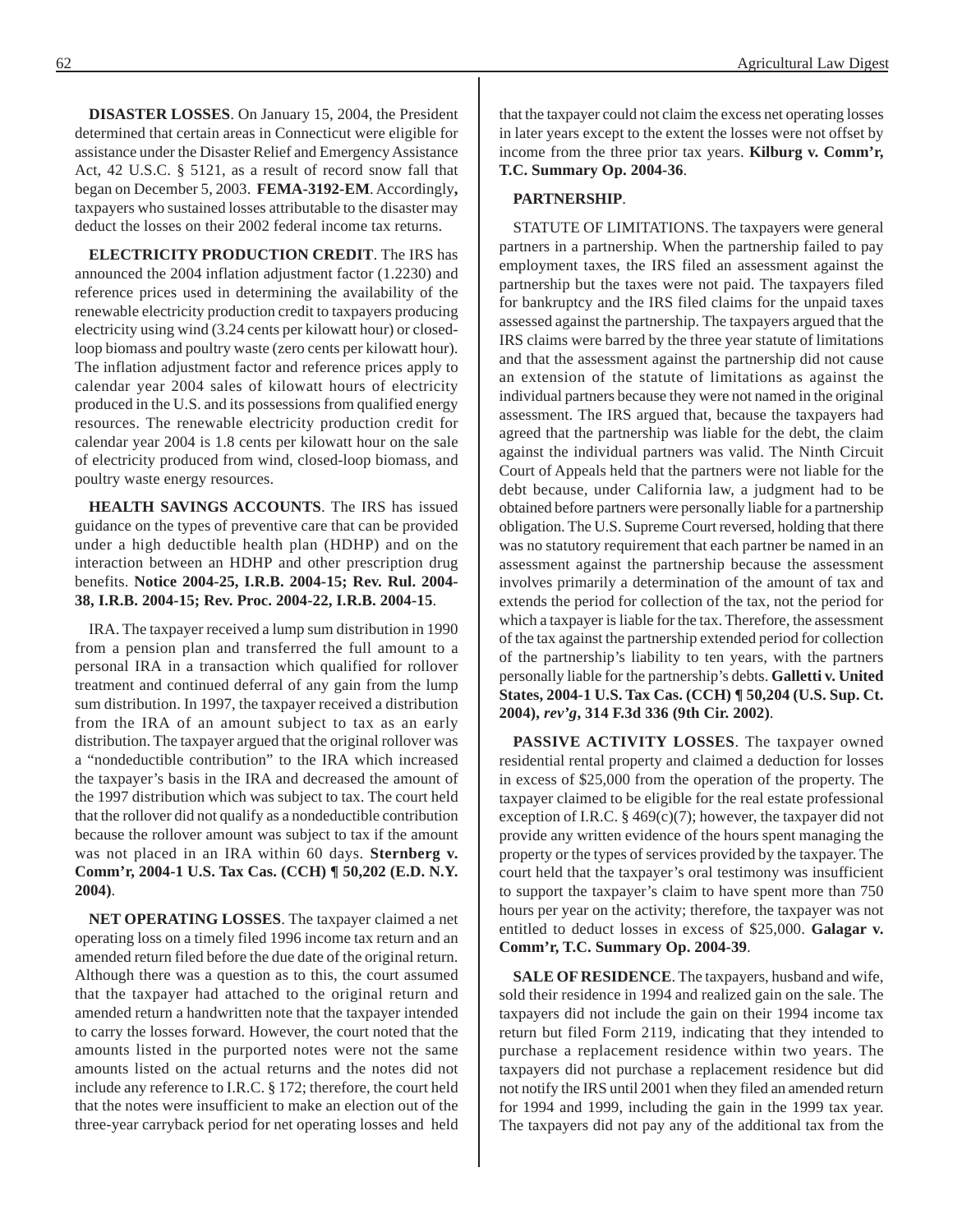**DISASTER LOSSES**. On January 15, 2004, the President determined that certain areas in Connecticut were eligible for assistance under the Disaster Relief and Emergency Assistance Act, 42 U.S.C. § 5121, as a result of record snow fall that began on December 5, 2003. **FEMA-3192-EM**. Accordingly**,**  taxpayers who sustained losses attributable to the disaster may deduct the losses on their 2002 federal income tax returns.

**ELECTRICITY PRODUCTION CREDIT**. The IRS has announced the 2004 inflation adjustment factor (1.2230) and reference prices used in determining the availability of the renewable electricity production credit to taxpayers producing electricity using wind (3.24 cents per kilowatt hour) or closedloop biomass and poultry waste (zero cents per kilowatt hour). The inflation adjustment factor and reference prices apply to calendar year 2004 sales of kilowatt hours of electricity produced in the U.S. and its possessions from qualified energy resources. The renewable electricity production credit for calendar year 2004 is 1.8 cents per kilowatt hour on the sale of electricity produced from wind, closed-loop biomass, and poultry waste energy resources.

**HEALTH SAVINGS ACCOUNTS**. The IRS has issued guidance on the types of preventive care that can be provided under a high deductible health plan (HDHP) and on the interaction between an HDHP and other prescription drug benefits. **Notice 2004-25, I.R.B. 2004-15; Rev. Rul. 2004 38, I.R.B. 2004-15; Rev. Proc. 2004-22, I.R.B. 2004-15**.

IRA. The taxpayer received a lump sum distribution in 1990 from a pension plan and transferred the full amount to a personal IRA in a transaction which qualified for rollover treatment and continued deferral of any gain from the lump sum distribution. In 1997, the taxpayer received a distribution from the IRA of an amount subject to tax as an early distribution. The taxpayer argued that the original rollover was a "nondeductible contribution" to the IRA which increased the taxpayer's basis in the IRA and decreased the amount of the 1997 distribution which was subject to tax. The court held that the rollover did not qualify as a nondeductible contribution because the rollover amount was subject to tax if the amount was not placed in an IRA within 60 days. **Sternberg v. Comm'r, 2004-1 U.S. Tax Cas. (CCH) ¶ 50,202 (E.D. N.Y. 2004)**.

**NET OPERATING LOSSES**. The taxpayer claimed a net operating loss on a timely filed 1996 income tax return and an amended return filed before the due date of the original return. Although there was a question as to this, the court assumed that the taxpayer had attached to the original return and amended return a handwritten note that the taxpayer intended to carry the losses forward. However, the court noted that the amounts listed in the purported notes were not the same amounts listed on the actual returns and the notes did not include any reference to I.R.C. § 172; therefore, the court held that the notes were insufficient to make an election out of the three-year carryback period for net operating losses and held that the taxpayer could not claim the excess net operating losses in later years except to the extent the losses were not offset by income from the three prior tax years. **Kilburg v. Comm'r, T.C. Summary Op. 2004-36**.

#### **PARTNERSHIP**.

STATUTE OF LIMITATIONS. The taxpayers were general partners in a partnership. When the partnership failed to pay employment taxes, the IRS filed an assessment against the partnership but the taxes were not paid. The taxpayers filed for bankruptcy and the IRS filed claims for the unpaid taxes assessed against the partnership. The taxpayers argued that the IRS claims were barred by the three year statute of limitations and that the assessment against the partnership did not cause an extension of the statute of limitations as against the individual partners because they were not named in the original assessment. The IRS argued that, because the taxpayers had agreed that the partnership was liable for the debt, the claim against the individual partners was valid. The Ninth Circuit Court of Appeals held that the partners were not liable for the debt because, under California law, a judgment had to be obtained before partners were personally liable for a partnership obligation. The U.S. Supreme Court reversed, holding that there was no statutory requirement that each partner be named in an assessment against the partnership because the assessment involves primarily a determination of the amount of tax and extends the period for collection of the tax, not the period for which a taxpayer is liable for the tax. Therefore, the assessment of the tax against the partnership extended period for collection of the partnership's liability to ten years, with the partners personally liable for the partnership's debts. **Galletti v. United States, 2004-1 U.S. Tax Cas. (CCH) ¶ 50,204 (U.S. Sup. Ct. 2004),** *rev'g***, 314 F.3d 336 (9th Cir. 2002)**.

**PASSIVE ACTIVITY LOSSES**. The taxpayer owned residential rental property and claimed a deduction for losses in excess of \$25,000 from the operation of the property. The taxpayer claimed to be eligible for the real estate professional exception of I.R.C.  $\S$  469(c)(7); however, the taxpayer did not provide any written evidence of the hours spent managing the property or the types of services provided by the taxpayer. The court held that the taxpayer's oral testimony was insufficient to support the taxpayer's claim to have spent more than 750 hours per year on the activity; therefore, the taxpayer was not entitled to deduct losses in excess of \$25,000. **Galagar v. Comm'r, T.C. Summary Op. 2004-39**.

**SALE OF RESIDENCE**. The taxpayers, husband and wife, sold their residence in 1994 and realized gain on the sale. The taxpayers did not include the gain on their 1994 income tax return but filed Form 2119, indicating that they intended to purchase a replacement residence within two years. The taxpayers did not purchase a replacement residence but did not notify the IRS until 2001 when they filed an amended return for 1994 and 1999, including the gain in the 1999 tax year. The taxpayers did not pay any of the additional tax from the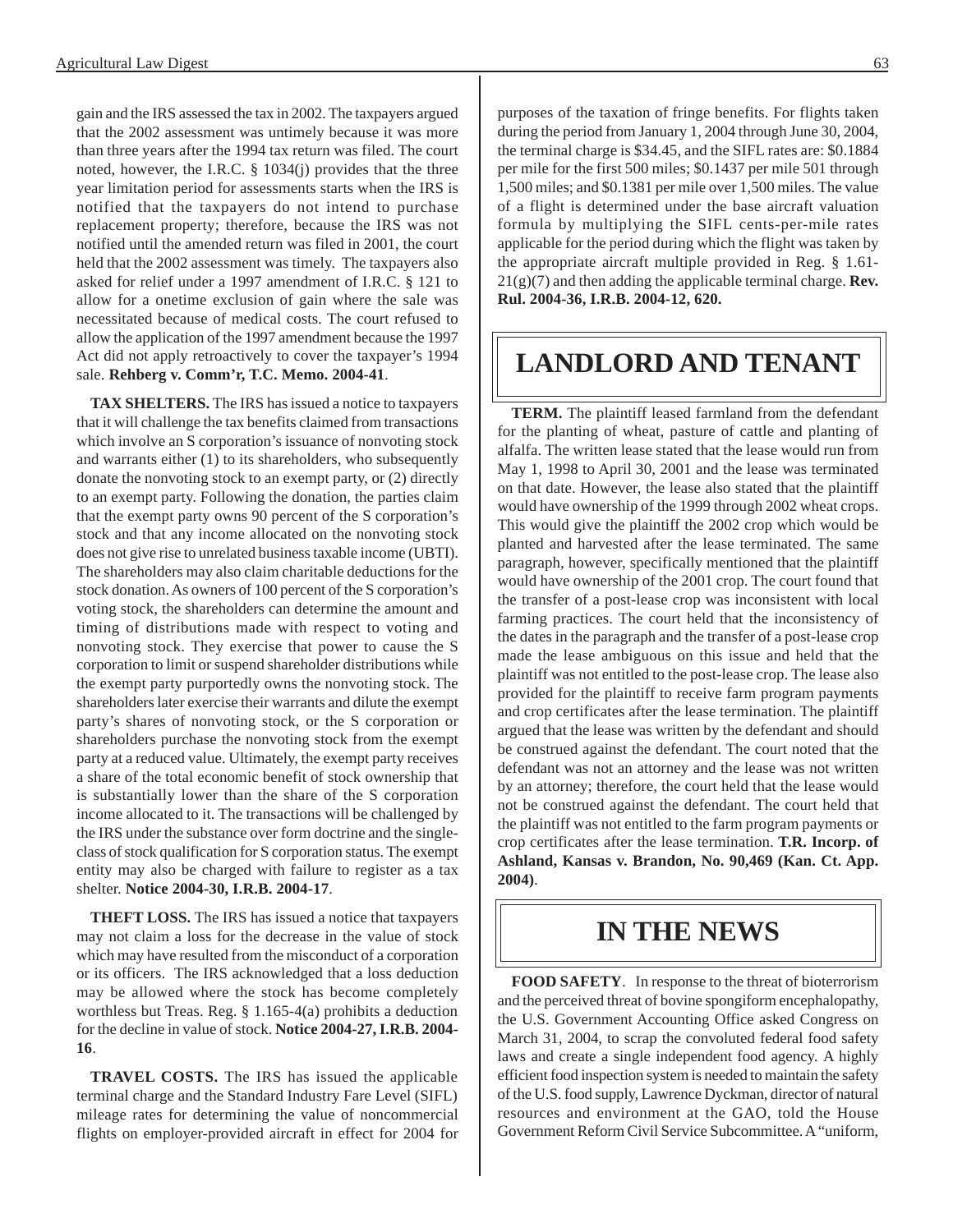gain and the IRS assessed the tax in 2002. The taxpayers argued that the 2002 assessment was untimely because it was more than three years after the 1994 tax return was filed. The court noted, however, the I.R.C. § 1034(j) provides that the three year limitation period for assessments starts when the IRS is notified that the taxpayers do not intend to purchase replacement property; therefore, because the IRS was not notified until the amended return was filed in 2001, the court held that the 2002 assessment was timely. The taxpayers also asked for relief under a 1997 amendment of I.R.C. § 121 to allow for a onetime exclusion of gain where the sale was necessitated because of medical costs. The court refused to allow the application of the 1997 amendment because the 1997 Act did not apply retroactively to cover the taxpayer's 1994 sale. **Rehberg v. Comm'r, T.C. Memo. 2004-41**.

**TAX SHELTERS.** The IRS has issued a notice to taxpayers that it will challenge the tax benefits claimed from transactions which involve an S corporation's issuance of nonvoting stock and warrants either (1) to its shareholders, who subsequently donate the nonvoting stock to an exempt party, or (2) directly to an exempt party. Following the donation, the parties claim that the exempt party owns 90 percent of the S corporation's stock and that any income allocated on the nonvoting stock does not give rise to unrelated business taxable income (UBTI). The shareholders may also claim charitable deductions for the stock donation. As owners of 100 percent of the S corporation's voting stock, the shareholders can determine the amount and timing of distributions made with respect to voting and nonvoting stock. They exercise that power to cause the S corporation to limit or suspend shareholder distributions while the exempt party purportedly owns the nonvoting stock. The shareholders later exercise their warrants and dilute the exempt party's shares of nonvoting stock, or the S corporation or shareholders purchase the nonvoting stock from the exempt party at a reduced value. Ultimately, the exempt party receives a share of the total economic benefit of stock ownership that is substantially lower than the share of the S corporation income allocated to it. The transactions will be challenged by the IRS under the substance over form doctrine and the singleclass of stock qualification for S corporation status. The exempt entity may also be charged with failure to register as a tax shelter. **Notice 2004-30, I.R.B. 2004-17**.

**THEFT LOSS.** The IRS has issued a notice that taxpayers may not claim a loss for the decrease in the value of stock which may have resulted from the misconduct of a corporation or its officers. The IRS acknowledged that a loss deduction may be allowed where the stock has become completely worthless but Treas. Reg. § 1.165-4(a) prohibits a deduction for the decline in value of stock. **Notice 2004-27, I.R.B. 2004 16**.

**TRAVEL COSTS.** The IRS has issued the applicable terminal charge and the Standard Industry Fare Level (SIFL) mileage rates for determining the value of noncommercial flights on employer-provided aircraft in effect for 2004 for

purposes of the taxation of fringe benefits. For flights taken during the period from January 1, 2004 through June 30, 2004, the terminal charge is \$34.45, and the SIFL rates are: \$0.1884 per mile for the first 500 miles; \$0.1437 per mile 501 through 1,500 miles; and \$0.1381 per mile over 1,500 miles. The value of a flight is determined under the base aircraft valuation formula by multiplying the SIFL cents-per-mile rates applicable for the period during which the flight was taken by the appropriate aircraft multiple provided in Reg. § 1.61 21(g)(7) and then adding the applicable terminal charge. **Rev. Rul. 2004-36, I.R.B. 2004-12, 620.** 

## **LANDLORD AND TENANT**

**TERM.** The plaintiff leased farmland from the defendant for the planting of wheat, pasture of cattle and planting of alfalfa. The written lease stated that the lease would run from May 1, 1998 to April 30, 2001 and the lease was terminated on that date. However, the lease also stated that the plaintiff would have ownership of the 1999 through 2002 wheat crops. This would give the plaintiff the 2002 crop which would be planted and harvested after the lease terminated. The same paragraph, however, specifically mentioned that the plaintiff would have ownership of the 2001 crop. The court found that the transfer of a post-lease crop was inconsistent with local farming practices. The court held that the inconsistency of the dates in the paragraph and the transfer of a post-lease crop made the lease ambiguous on this issue and held that the plaintiff was not entitled to the post-lease crop. The lease also provided for the plaintiff to receive farm program payments and crop certificates after the lease termination. The plaintiff argued that the lease was written by the defendant and should be construed against the defendant. The court noted that the defendant was not an attorney and the lease was not written by an attorney; therefore, the court held that the lease would not be construed against the defendant. The court held that the plaintiff was not entitled to the farm program payments or crop certificates after the lease termination. **T.R. Incorp. of Ashland, Kansas v. Brandon, No. 90,469 (Kan. Ct. App. 2004)**.

## **IN THE NEWS**

**FOOD SAFETY**. In response to the threat of bioterrorism and the perceived threat of bovine spongiform encephalopathy, the U.S. Government Accounting Office asked Congress on March 31, 2004, to scrap the convoluted federal food safety laws and create a single independent food agency. A highly efficient food inspection system is needed to maintain the safety of the U.S. food supply, Lawrence Dyckman, director of natural resources and environment at the GAO, told the House Government Reform Civil Service Subcommittee. A "uniform,